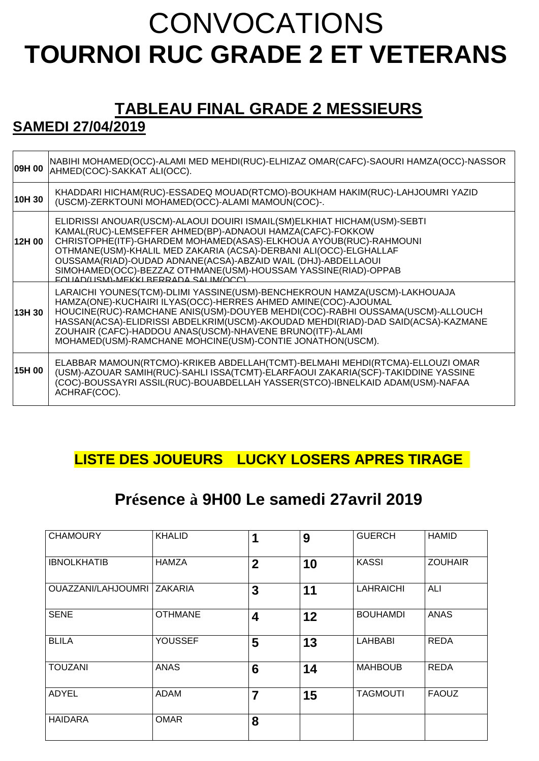# **CONVOCATIONS TOURNOI RUC GRADE 2 ET VETERANS**

## **TABLEAU FINAL GRADE 2 MESSIEURS**

## **SAMEDI 27/04/2019**

| 09H 00 | NABIHI MOHAMED(OCC)-ALAMI MED MEHDI(RUC)-ELHIZAZ OMAR(CAFC)-SAOURI HAMZA(OCC)-NASSOR<br>AHMED(COC)-SAKKAT ALI(OCC).                                                                                                                                                                                                                                                                                                                                         |
|--------|-------------------------------------------------------------------------------------------------------------------------------------------------------------------------------------------------------------------------------------------------------------------------------------------------------------------------------------------------------------------------------------------------------------------------------------------------------------|
| 10H 30 | KHADDARI HICHAM(RUC)-ESSADEQ MOUAD(RTCMO)-BOUKHAM HAKIM(RUC)-LAHJOUMRI YAZID<br>(USCM)-ZERKTOUNI MOHAMED(OCC)-ALAMI MAMOUN(COC)-.                                                                                                                                                                                                                                                                                                                           |
| 12H 00 | ELIDRISSI ANOUAR(USCM)-ALAOUI DOUIRI ISMAIL(SM)ELKHIAT HICHAM(USM)-SEBTI<br>KAMAL(RUC)-LEMSEFFER AHMED(BP)-ADNAOUI HAMZA(CAFC)-FOKKOW<br>CHRISTOPHE(ITF)-GHARDEM MOHAMED(ASAS)-ELKHOUA AYOUB(RUC)-RAHMOUNI<br>OTHMANE(USM)-KHALIL MED ZAKARIA (ACSA)-DERBANI ALI(OCC)-ELGHALLAF<br>OUSSAMA(RIAD)-OUDAD ADNANE(ACSA)-ABZAID WAIL (DHJ)-ABDELLAOUI<br>SIMOHAMED(OCC)-BEZZAZ OTHMANE(USM)-HOUSSAM YASSINE(RIAD)-OPPAB<br>EOLIAD(LISM)-MEKKI BERRADA SALIM(OCC) |
| 13H 30 | LARAICHI YOUNES(TCM)-DLIMI YASSINE(USM)-BENCHEKROUN HAMZA(USCM)-LAKHOUAJA<br>HAMZA(ONE)-KUCHAIRI ILYAS(OCC)-HERRES AHMED AMINE(COC)-AJOUMAL<br>HOUCINE(RUC)-RAMCHANE ANIS(USM)-DOUYEB MEHDI(COC)-RABHI OUSSAMA(USCM)-ALLOUCH<br>HASSAN(ACSA)-ELIDRISSI ABDELKRIM(USCM)-AKOUDAD MEHDI(RIAD)-DAD SAID(ACSA)-KAZMANE<br>ZOUHAIR (CAFC)-HADDOU ANAS(USCM)-NHAVENE BRUNO(ITF)-ALAMI<br>MOHAMED(USM)-RAMCHANE MOHCINE(USM)-CONTIE JONATHON(USCM).                 |
| 15H 00 | ELABBAR MAMOUN(RTCMO)-KRIKEB ABDELLAH(TCMT)-BELMAHI MEHDI(RTCMA)-ELLOUZI OMAR<br>(USM)-AZOUAR SAMIH(RUC)-SAHLI ISSA(TCMT)-ELARFAOUI ZAKARIA(SCF)-TAKIDDINE YASSINE<br>(COC)-BOUSSAYRI ASSIL(RUC)-BOUABDELLAH YASSER(STCO)-IBNELKAID ADAM(USM)-NAFAA<br>ACHRAF(COC).                                                                                                                                                                                         |

#### **LISTE DES JOUEURS LUCKY LOSERS APRES TIRAGE**

## **Présence à 9H00 Le samedi 27avril 2019**

| <b>CHAMOURY</b>    | <b>KHALID</b>  | 1              | 9  | <b>GUERCH</b>    | <b>HAMID</b>   |
|--------------------|----------------|----------------|----|------------------|----------------|
| <b>IBNOLKHATIB</b> | <b>HAMZA</b>   | $\overline{2}$ | 10 | <b>KASSI</b>     | <b>ZOUHAIR</b> |
| OUAZZANI/LAHJOUMRI | <b>ZAKARIA</b> | 3              | 11 | <b>LAHRAICHI</b> | ALI            |
| <b>SENE</b>        | <b>OTHMANE</b> | 4              | 12 | <b>BOUHAMDI</b>  | <b>ANAS</b>    |
| <b>BLILA</b>       | <b>YOUSSEF</b> | 5              | 13 | <b>LAHBABI</b>   | <b>REDA</b>    |
| TOUZANI            | <b>ANAS</b>    | 6              | 14 | <b>MAHBOUB</b>   | <b>REDA</b>    |
| <b>ADYEL</b>       | <b>ADAM</b>    | $\overline{7}$ | 15 | <b>TAGMOUTI</b>  | <b>FAOUZ</b>   |
| HAIDARA            | <b>OMAR</b>    | 8              |    |                  |                |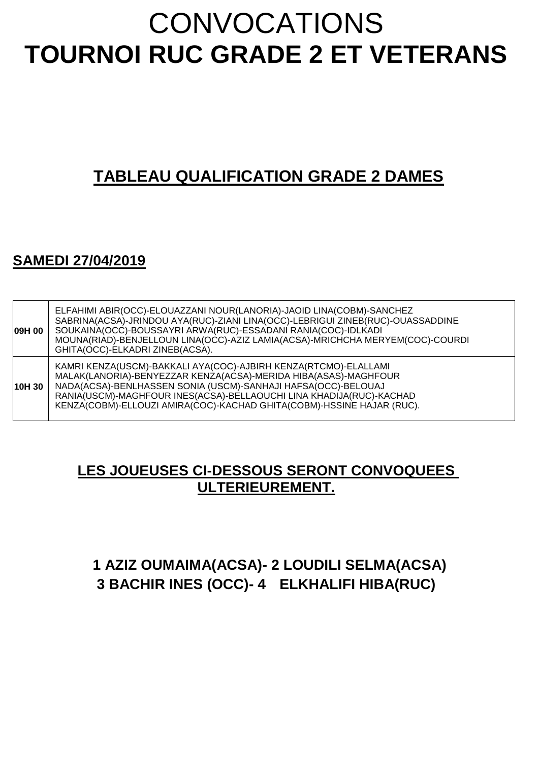# CONVOCATIONS **TOURNOI RUC GRADE 2 ET VETERANS**

## **TABLEAU QUALIFICATION GRADE 2 DAMES**

#### **SAMEDI 27/04/2019**

| 09H 00 | ELFAHIMI ABIR(OCC)-ELOUAZZANI NOUR(LANORIA)-JAOID LINA(COBM)-SANCHEZ<br>SABRINA(ACSA)-JRINDOU AYA(RUC)-ZIANI LINA(OCC)-LEBRIGUI ZINEB(RUC)-OUASSADDINE<br>SOUKAINA(OCC)-BOUSSAYRI ARWA(RUC)-ESSADANI RANIA(COC)-IDLKADI<br>MOUNA(RIAD)-BENJELLOUN LINA(OCC)-AZIZ LAMIA(ACSA)-MRICHCHA MERYEM(COC)-COURDI<br>GHITA(OCC)-ELKADRI ZINEB(ACSA).         |
|--------|-----------------------------------------------------------------------------------------------------------------------------------------------------------------------------------------------------------------------------------------------------------------------------------------------------------------------------------------------------|
| 10H 30 | KAMRI KENZA(USCM)-BAKKALI AYA(COC)-AJBIRH KENZA(RTCMO)-ELALLAMI<br>MALAK(LANORIA)-BENYEZZAR KENZA(ACSA)-MERIDA HIBA(ASAS)-MAGHFOUR<br>NADA(ACSA)-BENLHASSEN SONIA (USCM)-SANHAJI HAFSA(OCC)-BELOUAJ<br>RANIA(USCM)-MAGHFOUR INES(ACSA)-BELLAOUCHI LINA KHADIJA(RUC)-KACHAD<br>KENZA(COBM)-ELLOUZI AMIRA(COC)-KACHAD GHITA(COBM)-HSSINE HAJAR (RUC). |

#### **LES JOUEUSES CI-DESSOUS SERONT CONVOQUEES ULTERIEUREMENT.**

#### **1 AZIZ OUMAIMA(ACSA)- 2 LOUDILI SELMA(ACSA) 3 BACHIR INES (OCC)- 4 ELKHALIFI HIBA(RUC)**